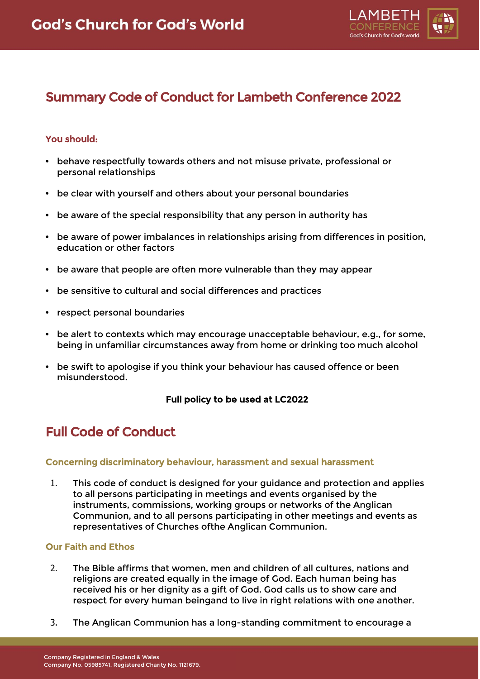

# Summary Code of Conduct for Lambeth Conference 2022

# You should:

- **•** behave respectfully towards others and not misuse private, professional or personal relationships
- **•** be clear with yourself and others about your personal boundaries
- **•** be aware of the special responsibility that any person in authority has
- **•** be aware of power imbalances in relationships arising from differences in position, education or other factors
- **•** be aware that people are often more vulnerable than they may appear
- **•** be sensitive to cultural and social differences and practices
- **•** respect personal boundaries
- **•** be alert to contexts which may encourage unacceptable behaviour, e.g., for some, being in unfamiliar circumstances away from home or drinking too much alcohol
- **•** be swift to apologise if you think your behaviour has caused offence or been misunderstood.

## Full policy to be used at LC2022

# Full Code of Conduct

## Concerning discriminatory behaviour, harassment and sexual harassment

1. This code of conduct is designed for your guidance and protection and applies to all persons participating in meetings and events organised by the instruments, commissions, working groups or networks of the Anglican Communion, and to all persons participating in other meetings and events as representatives of Churches ofthe Anglican Communion.

## Our Faith and Ethos

- 2. The Bible affirms that women, men and children of all cultures, nations and religions are created equally in the image of God. Each human being has received his or her dignity as a gift of God. God calls us to show care and respect for every human beingand to live in right relations with one another.
- 3. The Anglican Communion has a long-standing commitment to encourage a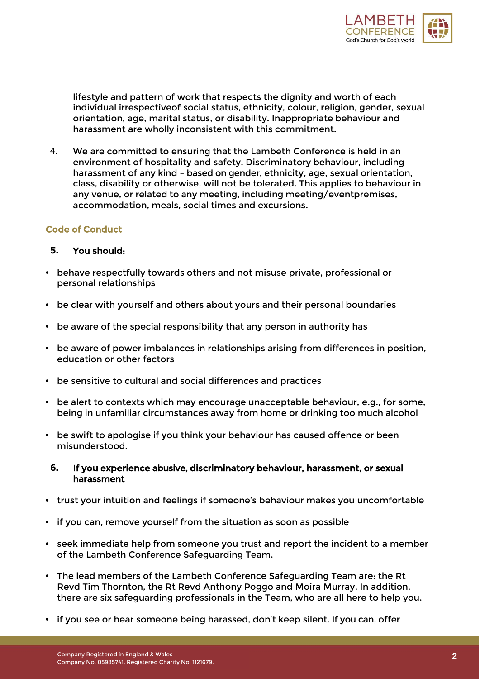

lifestyle and pattern of work that respects the dignity and worth of each individual irrespectiveof social status, ethnicity, colour, religion, gender, sexual orientation, age, marital status, or disability. Inappropriate behaviour and harassment are wholly inconsistent with this commitment.

4. We are committed to ensuring that the Lambeth Conference is held in an environment of hospitality and safety. Discriminatory behaviour, including harassment of any kind – based on gender, ethnicity, age, sexual orientation, class, disability or otherwise, will not be tolerated. This applies to behaviour in any venue, or related to any meeting, including meeting/eventpremises, accommodation, meals, social times and excursions.

## Code of Conduct

## **5.** You should:

- **•** behave respectfully towards others and not misuse private, professional or personal relationships
- **•** be clear with yourself and others about yours and their personal boundaries
- **•** be aware of the special responsibility that any person in authority has
- **•** be aware of power imbalances in relationships arising from differences in position, education or other factors
- **•** be sensitive to cultural and social differences and practices
- **•** be alert to contexts which may encourage unacceptable behaviour, e.g., for some, being in unfamiliar circumstances away from home or drinking too much alcohol
- **•** be swift to apologise if you think your behaviour has caused offence or been misunderstood.

## **6.** If you experience abusive, discriminatory behaviour, harassment, or sexual harassment

- **•** trust your intuition and feelings if someone's behaviour makes you uncomfortable
- **•** if you can, remove yourself from the situation as soon as possible
- **•** seek immediate help from someone you trust and report the incident to a member of the Lambeth Conference Safeguarding Team.
- **•** The lead members of the Lambeth Conference Safeguarding Team are: the Rt Revd Tim Thornton, the Rt Revd Anthony Poggo and Moira Murray. In addition, there are six safeguarding professionals in the Team, who are all here to help you.
- **•** if you see or hear someone being harassed, don't keep silent. If you can, offer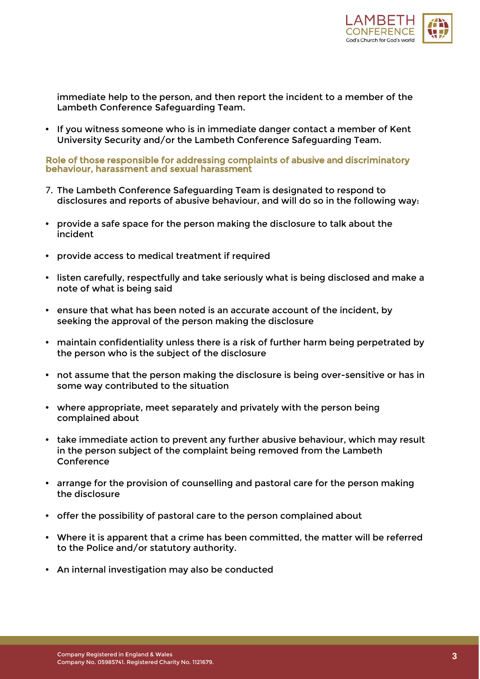

immediate help to the person, and then report the incident to a member of the Lambeth Conference Safeguarding Team.

**•** If you witness someone who is in immediate danger contact a member of Kent University Security and/or the Lambeth Conference Safeguarding Team.

Role of those responsible for addressing complaints of abusive and discriminatory behaviour, harassment and sexual harassment

- 7. The Lambeth Conference Safeguarding Team is designated to respond to disclosures and reports of abusive behaviour, and will do so in the following way:
- **•** provide a safe space for the person making the disclosure to talk about the incident
- **•** provide access to medical treatment if required
- **•** listen carefully, respectfully and take seriously what is being disclosed and make a note of what is being said
- **•** ensure that what has been noted is an accurate account of the incident, by seeking the approval of the person making the disclosure
- **•** maintain confidentiality unless there is a risk of further harm being perpetrated by the person who is the subject of the disclosure
- **•** not assume that the person making the disclosure is being over-sensitive or has in some way contributed to the situation
- **•** where appropriate, meet separately and privately with the person being complained about
- **•** take immediate action to prevent any further abusive behaviour, which may result in the person subject of the complaint being removed from the Lambeth Conference
- **•** arrange for the provision of counselling and pastoral care for the person making the disclosure
- **•** offer the possibility of pastoral care to the person complained about
- **•** Where it is apparent that a crime has been committed, the matter will be referred to the Police and/or statutory authority.
- **•** An internal investigation may also be conducted